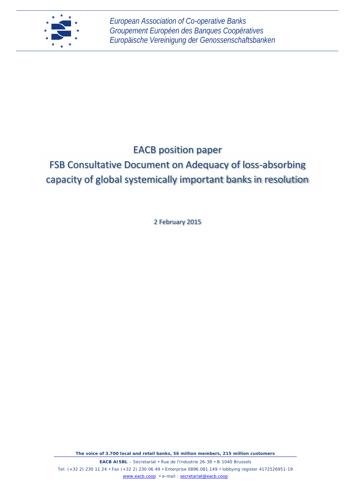

## EACB position paper

# FSB Consultative Document on Adequacy of loss-absorbing capacity of global systemically important banks in resolution

2 February 2015

*The voice of 3.700 local and retail banks, 56 million members, 215 million customers*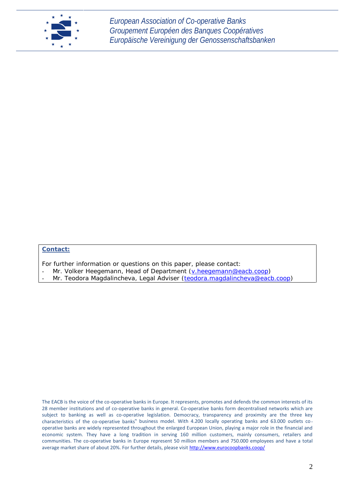

#### **Contact:**

For further information or questions on this paper, please contact:

- Mr. Volker Heegemann, Head of Department (v.heegemann@eacb.coop)
- Mr. Teodora Magdalincheva, Legal Adviser (teodora.magdalincheva@eacb.coop)

The EACB is the voice of the co-operative banks in Europe. It represents, promotes and defends the common interests of its 28 member institutions and of co-operative banks in general. Co-operative banks form decentralised networks which are subject to banking as well as co-operative legislation. Democracy, transparency and proximity are the three key characteristics of the co-operative banks" business model. With 4.200 locally operating banks and 63.000 outlets co operative banks are widely represented throughout the enlarged European Union, playing a major role in the financial and economic system. They have a long tradition in serving 160 million customers, mainly consumers, retailers and communities. The co-operative banks in Europe represent 50 million members and 750.000 employees and have a total average market share of about 20%. For further details, please visit http://www.eurocoopbanks.coop/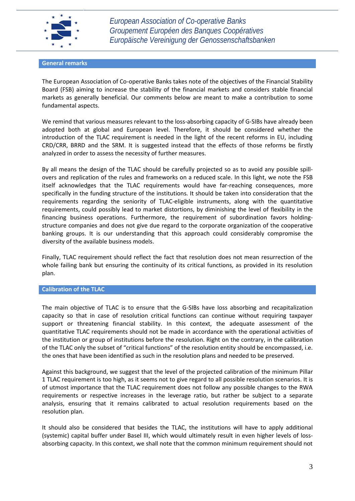

#### **General remarks**

The European Association of Co-operative Banks takes note of the objectives of the Financial Stability Board (FSB) aiming to increase the stability of the financial markets and considers stable financial markets as generally beneficial. Our comments below are meant to make a contribution to some fundamental aspects.

We remind that various measures relevant to the loss-absorbing capacity of G-SIBs have already been adopted both at global and European level. Therefore, it should be considered whether the introduction of the TLAC requirement is needed in the light of the recent reforms in EU, including CRD/CRR, BRRD and the SRM. It is suggested instead that the effects of those reforms be firstly analyzed in order to assess the necessity of further measures.

By all means the design of the TLAC should be carefully projected so as to avoid any possible spill overs and replication of the rules and frameworks on a reduced scale. In this light, we note the FSB itself acknowledges that the TLAC requirements would have far-reaching consequences, more specifically in the funding structure of the institutions. It should be taken into consideration that the requirements regarding the seniority of TLAC-eligible instruments, along with the quantitative requirements, could possibly lead to market distortions, by diminishing the level of flexibility in the financing business operations. Furthermore, the requirement of subordination favors holding structure companies and does not give due regard to the corporate organization of the cooperative banking groups. It is our understanding that this approach could considerably compromise the diversity of the available business models.

Finally, TLAC requirement should reflect the fact that resolution does not mean resurrection of the whole failing bank but ensuring the continuity of its critical functions, as provided in its resolution plan.

#### **Calibration of the TLAC**

The main objective of TLAC is to ensure that the G-SIBs have loss absorbing and recapitalization capacity so that in case of resolution critical functions can continue without requiring taxpayer support or threatening financial stability. In this context, the adequate assessment of the quantitative TLAC requirements should not be made in accordance with the operational activities of the institution or group of institutions before the resolution. Right on the contrary, in the calibration of the TLAC only the subset of "critical functions" of the resolution entity should be encompassed, i.e. the ones that have been identified as such in the resolution plans and needed to be preserved.

Against this background, we suggest that the level of the projected calibration of the minimum Pillar 1 TLAC requirement is too high, as it seems not to give regard to all possible resolution scenarios. It is of utmost importance that the TLAC requirement does not follow any possible changes to the RWA requirements or respective increases in the leverage ratio, but rather be subject to a separate analysis, ensuring that it remains calibrated to actual resolution requirements based on the resolution plan.

It should also be considered that besides the TLAC, the institutions will have to apply additional (systemic) capital buffer under Basel III, which would ultimately result in even higher levels of loss absorbing capacity. In this context, we shall note that the common minimum requirement should not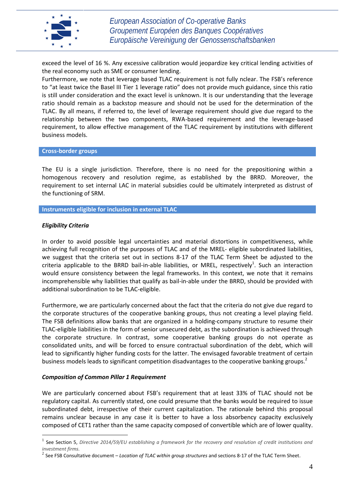

exceed the level of 16 %. Any excessive calibration would jeopardize key critical lending activities of the real economy such as SME or consumer lending.

Furthermore, we note that leverage based TLAC requirement is not fully nclear. The FSB's reference to "at least twice the Basel III Tier 1 leverage ratio" does not provide much guidance, since this ratio is still under consideration and the exact level is unknown. It is our understanding that the leverage ratio should remain as a backstop measure and should not be used for the determination of the TLAC. By all means, if referred to, the level of leverage requirement should give due regard to the relationship between the two components, RWA-based requirement and the leverage-based requirement, to allow effective management of the TLAC requirement by institutions with different business models.

**Cross-border groups**

The EU is a single jurisdiction. Therefore, there is no need for the prepositioning within a homogenous recovery and resolution regime, as established by the BRRD. Moreover, the requirement to set internal LAC in material subsidies could be ultimately interpreted as distrust of the functioning of SRM.

**Instruments eligible for inclusion in external TLAC**

#### *Eligibility Criteria*

In order to avoid possible legal uncertainties and material distortions in competitiveness, while achieving full recognition of the purposes of TLAC and of the MREL- eligible subordinated liabilities, we suggest that the criteria set out in sections 8-17 of the TLAC Term Sheet be adjusted to the criteria applicable to the BRRD bail-in-able liabilities, or MREL, respectively<sup>1</sup>. Such an interaction would ensure consistency between the legal frameworks. In this context, we note that it remains incomprehensible why liabilities that qualify as bail-in-able under the BRRD, should be provided with additional subordination to be TLAC-eligible.

Furthermore, we are particularly concerned about the fact that the criteria do not give due regard to the corporate structures of the cooperative banking groups, thus not creating a level playing field. The FSB definitions allow banks that are organized in a holding-company structure to resume their TLAC-eligible liabilities in the form of senior unsecured debt, as the subordination is achieved through the corporate structure. In contrast, some cooperative banking groups do not operate as consolidated units, and will be forced to ensure contractual subordination of the debt, which will lead to significantly higher funding costs for the latter. The envisaged favorable treatment of certain business models leads to significant competition disadvantages to the cooperative banking groups.<sup>2</sup>

#### *Composition of Common Pillar 1 Requirement*

We are particularly concerned about FSB's requirement that at least 33% of TLAC should not be regulatory capital. As currently stated, one could presume that the banks would be required to issue subordinated debt, irrespective of their current capitalization. The rationale behind this proposal remains unclear because in any case it is better to have a loss absorbency capacity exclusively composed of CET1 rather than the same capacity composed of convertible which are of lower quality.

<sup>1</sup> See Section 5, *Directive 2014/59/EU establishing a framework for the recovery and resolution of credit institutions and investment firms.*

<sup>2</sup> See FSB Consultative document – *Location of TLAC within group structures* and sections 8-17 of the TLAC Term Sheet.